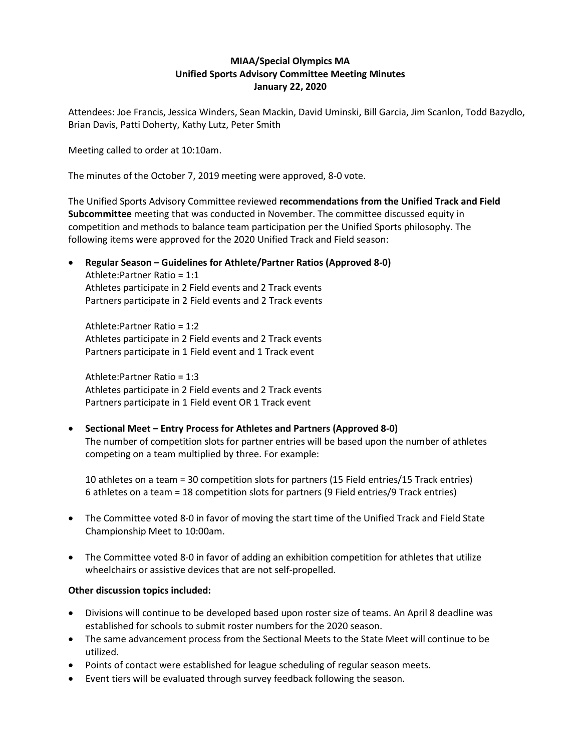## **MIAA/Special Olympics MA Unified Sports Advisory Committee Meeting Minutes January 22, 2020**

Attendees: Joe Francis, Jessica Winders, Sean Mackin, David Uminski, Bill Garcia, Jim Scanlon, Todd Bazydlo, Brian Davis, Patti Doherty, Kathy Lutz, Peter Smith

Meeting called to order at 10:10am.

The minutes of the October 7, 2019 meeting were approved, 8-0 vote.

The Unified Sports Advisory Committee reviewed **recommendations from the Unified Track and Field Subcommittee** meeting that was conducted in November. The committee discussed equity in competition and methods to balance team participation per the Unified Sports philosophy. The following items were approved for the 2020 Unified Track and Field season:

• **Regular Season – Guidelines for Athlete/Partner Ratios (Approved 8-0)** Athlete:Partner Ratio = 1:1 Athletes participate in 2 Field events and 2 Track events Partners participate in 2 Field events and 2 Track events

Athlete:Partner Ratio = 1:2 Athletes participate in 2 Field events and 2 Track events Partners participate in 1 Field event and 1 Track event

Athlete:Partner Ratio = 1:3 Athletes participate in 2 Field events and 2 Track events Partners participate in 1 Field event OR 1 Track event

• **Sectional Meet – Entry Process for Athletes and Partners (Approved 8-0)** The number of competition slots for partner entries will be based upon the number of athletes competing on a team multiplied by three. For example:

10 athletes on a team = 30 competition slots for partners (15 Field entries/15 Track entries) 6 athletes on a team = 18 competition slots for partners (9 Field entries/9 Track entries)

- The Committee voted 8-0 in favor of moving the start time of the Unified Track and Field State Championship Meet to 10:00am.
- The Committee voted 8-0 in favor of adding an exhibition competition for athletes that utilize wheelchairs or assistive devices that are not self-propelled.

## **Other discussion topics included:**

- Divisions will continue to be developed based upon roster size of teams. An April 8 deadline was established for schools to submit roster numbers for the 2020 season.
- The same advancement process from the Sectional Meets to the State Meet will continue to be utilized.
- Points of contact were established for league scheduling of regular season meets.
- Event tiers will be evaluated through survey feedback following the season.